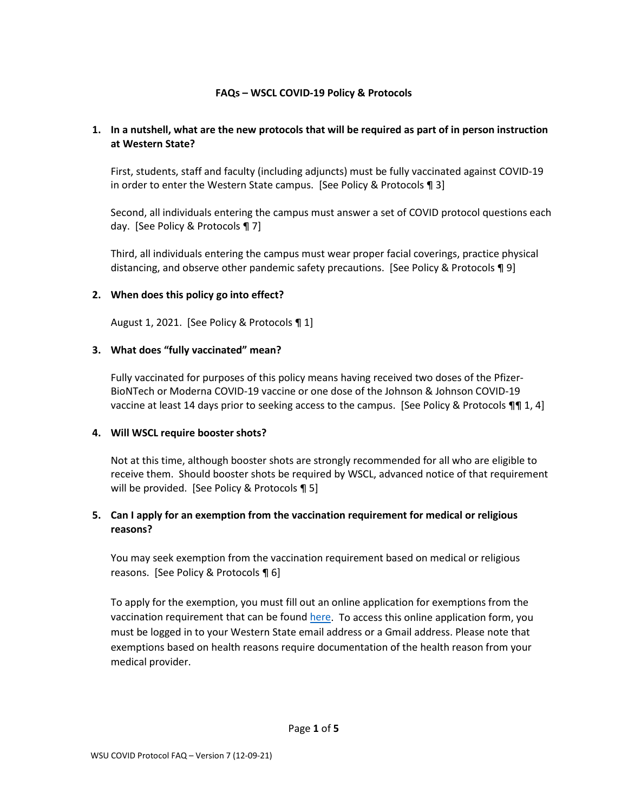## **FAQs – WSCL COVID-19 Policy & Protocols**

## **1. In a nutshell, what are the new protocols that will be required as part of in person instruction at Western State?**

First, students, staff and faculty (including adjuncts) must be fully vaccinated against COVID-19 in order to enter the Western State campus. [See Policy & Protocols ¶ 3]

Second, all individuals entering the campus must answer a set of COVID protocol questions each day. [See Policy & Protocols ¶ 7]

Third, all individuals entering the campus must wear proper facial coverings, practice physical distancing, and observe other pandemic safety precautions. [See Policy & Protocols ¶ 9]

#### **2. When does this policy go into effect?**

August 1, 2021. [See Policy & Protocols ¶ 1]

#### **3. What does "fully vaccinated" mean?**

Fully vaccinated for purposes of this policy means having received two doses of the Pfizer-BioNTech or Moderna COVID-19 vaccine or one dose of the Johnson & Johnson COVID-19 vaccine at least 14 days prior to seeking access to the campus. [See Policy & Protocols ¶¶ 1, 4]

#### **4. Will WSCL require booster shots?**

Not at this time, although booster shots are strongly recommended for all who are eligible to receive them. Should booster shots be required by WSCL, advanced notice of that requirement will be provided. [See Policy & Protocols ¶ 5]

## **5. Can I apply for an exemption from the vaccination requirement for medical or religious reasons?**

You may seek exemption from the vaccination requirement based on medical or religious reasons. [See Policy & Protocols ¶ 6]

To apply for the exemption, you must fill out an online application for exemptions from the vaccination requirement that can be found [here.](https://forms.gle/oAh6p9pg44aW3q9C8) To access this online application form, you must be logged in to your Western State email address or a Gmail address. Please note that exemptions based on health reasons require documentation of the health reason from your medical provider.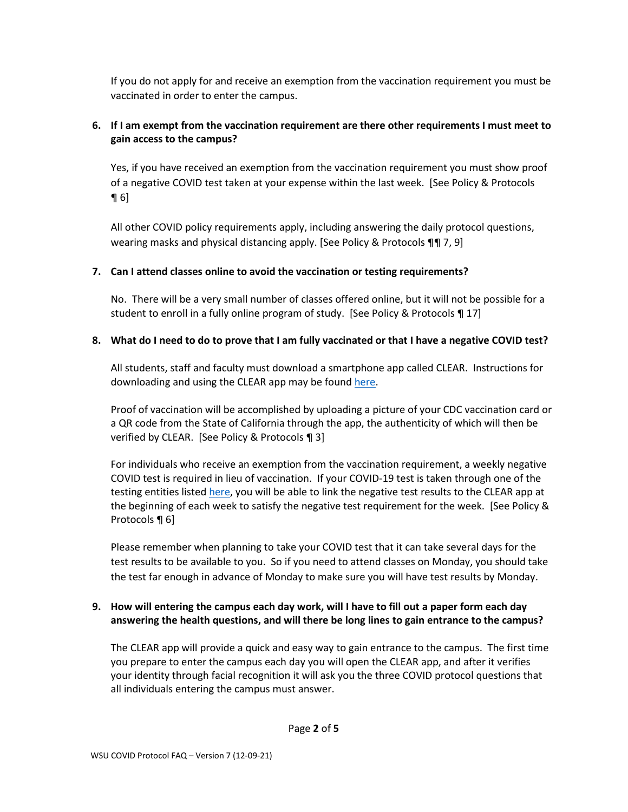If you do not apply for and receive an exemption from the vaccination requirement you must be vaccinated in order to enter the campus.

## **6. If I am exempt from the vaccination requirement are there other requirements I must meet to gain access to the campus?**

Yes, if you have received an exemption from the vaccination requirement you must show proof of a negative COVID test taken at your expense within the last week. [See Policy & Protocols  $\P6$ 

All other COVID policy requirements apply, including answering the daily protocol questions, wearing masks and physical distancing apply. [See Policy & Protocols ¶¶ 7, 9]

## **7. Can I attend classes online to avoid the vaccination or testing requirements?**

No. There will be a very small number of classes offered online, but it will not be possible for a student to enroll in a fully online program of study. [See Policy & Protocols ¶ 17]

## **8. What do I need to do to prove that I am fully vaccinated or that I have a negative COVID test?**

All students, staff and faculty must download a smartphone app called CLEAR. Instructions for downloading and using the CLEAR app may be foun[d here.](https://drive.google.com/file/d/1tWYcMnVRZojGtcC88FqPE_KEY5h23g8n/view?usp=sharing)

Proof of vaccination will be accomplished by uploading a picture of your CDC vaccination card or a QR code from the State of California through the app, the authenticity of which will then be verified by CLEAR. [See Policy & Protocols ¶ 3]

For individuals who receive an exemption from the vaccination requirement, a weekly negative COVID test is required in lieu of vaccination. If your COVID-19 test is taken through one of the testing entities listed [here,](https://drive.google.com/file/d/196rjd0aQnm3rsRCcpLqbM2g_sJ2niBEb/view?usp=sharing) you will be able to link the negative test results to the CLEAR app at the beginning of each week to satisfy the negative test requirement for the week. [See Policy & Protocols ¶ 6]

Please remember when planning to take your COVID test that it can take several days for the test results to be available to you. So if you need to attend classes on Monday, you should take the test far enough in advance of Monday to make sure you will have test results by Monday.

## **9. How will entering the campus each day work, will I have to fill out a paper form each day answering the health questions, and will there be long lines to gain entrance to the campus?**

The CLEAR app will provide a quick and easy way to gain entrance to the campus. The first time you prepare to enter the campus each day you will open the CLEAR app, and after it verifies your identity through facial recognition it will ask you the three COVID protocol questions that all individuals entering the campus must answer.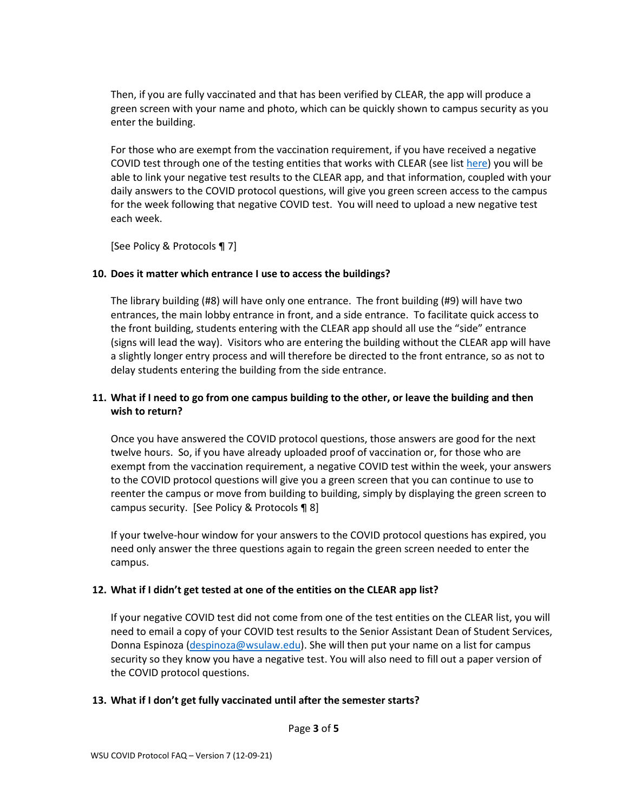Then, if you are fully vaccinated and that has been verified by CLEAR, the app will produce a green screen with your name and photo, which can be quickly shown to campus security as you enter the building.

For those who are exempt from the vaccination requirement, if you have received a negative COVID test through one of the testing entities that works with CLEAR (see list [here\)](https://drive.google.com/file/d/196rjd0aQnm3rsRCcpLqbM2g_sJ2niBEb/view?usp=sharing) you will be able to link your negative test results to the CLEAR app, and that information, coupled with your daily answers to the COVID protocol questions, will give you green screen access to the campus for the week following that negative COVID test. You will need to upload a new negative test each week.

[See Policy & Protocols ¶ 7]

## **10. Does it matter which entrance I use to access the buildings?**

The library building (#8) will have only one entrance. The front building (#9) will have two entrances, the main lobby entrance in front, and a side entrance. To facilitate quick access to the front building, students entering with the CLEAR app should all use the "side" entrance (signs will lead the way). Visitors who are entering the building without the CLEAR app will have a slightly longer entry process and will therefore be directed to the front entrance, so as not to delay students entering the building from the side entrance.

## **11. What if I need to go from one campus building to the other, or leave the building and then wish to return?**

Once you have answered the COVID protocol questions, those answers are good for the next twelve hours. So, if you have already uploaded proof of vaccination or, for those who are exempt from the vaccination requirement, a negative COVID test within the week, your answers to the COVID protocol questions will give you a green screen that you can continue to use to reenter the campus or move from building to building, simply by displaying the green screen to campus security. [See Policy & Protocols ¶ 8]

If your twelve-hour window for your answers to the COVID protocol questions has expired, you need only answer the three questions again to regain the green screen needed to enter the campus.

## **12. What if I didn't get tested at one of the entities on the CLEAR app list?**

If your negative COVID test did not come from one of the test entities on the CLEAR list, you will need to email a copy of your COVID test results to the Senior Assistant Dean of Student Services, Donna Espinoza [\(despinoza@wsulaw.edu\)](mailto:despinoza@wsulaw.edu). She will then put your name on a list for campus security so they know you have a negative test. You will also need to fill out a paper version of the COVID protocol questions.

#### **13. What if I don't get fully vaccinated until after the semester starts?**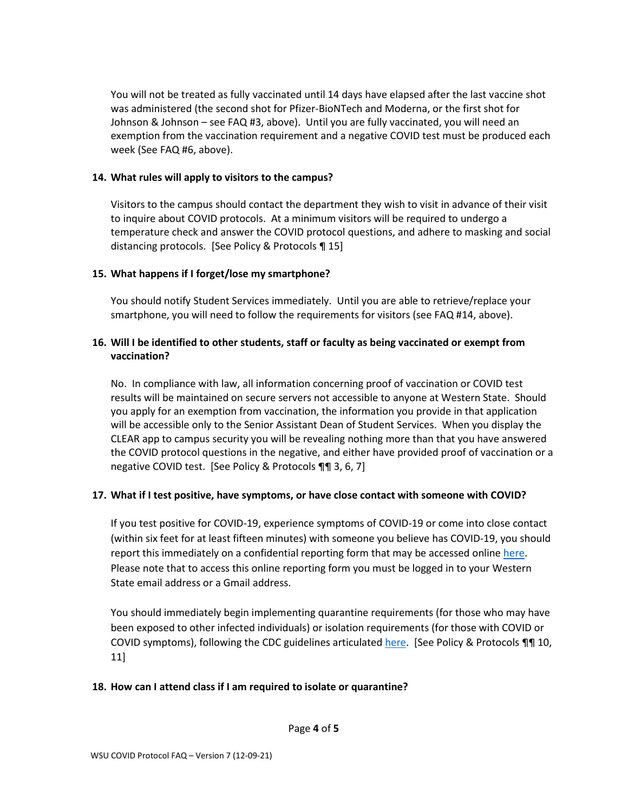You will not be treated as fully vaccinated until 14 days have elapsed after the last vaccine shot was administered (the second shot for Pfizer-BioNTech and Moderna, or the first shot for Johnson & Johnson – see FAQ #3, above). Until you are fully vaccinated, you will need an exemption from the vaccination requirement and a negative COVID test must be produced each week (See FAQ #6, above).

### **14. What rules will apply to visitors to the campus?**

Visitors to the campus should contact the department they wish to visit in advance of their visit to inquire about COVID protocols. At a minimum visitors will be required to undergo a temperature check and answer the COVID protocol questions, and adhere to masking and social distancing protocols. [See Policy & Protocols ¶ 15]

## **15. What happens if I forget/lose my smartphone?**

You should notify Student Services immediately. Until you are able to retrieve/replace your smartphone, you will need to follow the requirements for visitors (see FAQ #14, above).

## **16. Will I be identified to other students, staff or faculty as being vaccinated or exempt from vaccination?**

No. In compliance with law, all information concerning proof of vaccination or COVID test results will be maintained on secure servers not accessible to anyone at Western State. Should you apply for an exemption from vaccination, the information you provide in that application will be accessible only to the Senior Assistant Dean of Student Services. When you display the CLEAR app to campus security you will be revealing nothing more than that you have answered the COVID protocol questions in the negative, and either have provided proof of vaccination or a negative COVID test. [See Policy & Protocols ¶¶ 3, 6, 7]

## **17. What if I test positive, have symptoms, or have close contact with someone with COVID?**

If you test positive for COVID-19, experience symptoms of COVID-19 or come into close contact (within six feet for at least fifteen minutes) with someone you believe has COVID-19, you should report this immediately on a confidential reporting form that may be accessed online [here.](https://forms.gle/CQXfvAE6i1T6hMHA6) Please note that to access this online reporting form you must be logged in to your Western State email address or a Gmail address.

You should immediately begin implementing quarantine requirements (for those who may have been exposed to other infected individuals) or isolation requirements (for those with COVID or COVID symptoms), following the CDC guidelines articulate[d here.](https://www.cdc.gov/coronavirus/2019-ncov/if-you-are-sick/quarantine.html?CDC_AA_refVal=https%3A%2F%2Fwww.cdc.gov%2Fcoronavirus%2F2019-ncov%2Fif-you-are-sick%2Fisolation.html) [See Policy & Protocols ¶¶ 10, 11]

#### **18. How can I attend class if I am required to isolate or quarantine?**